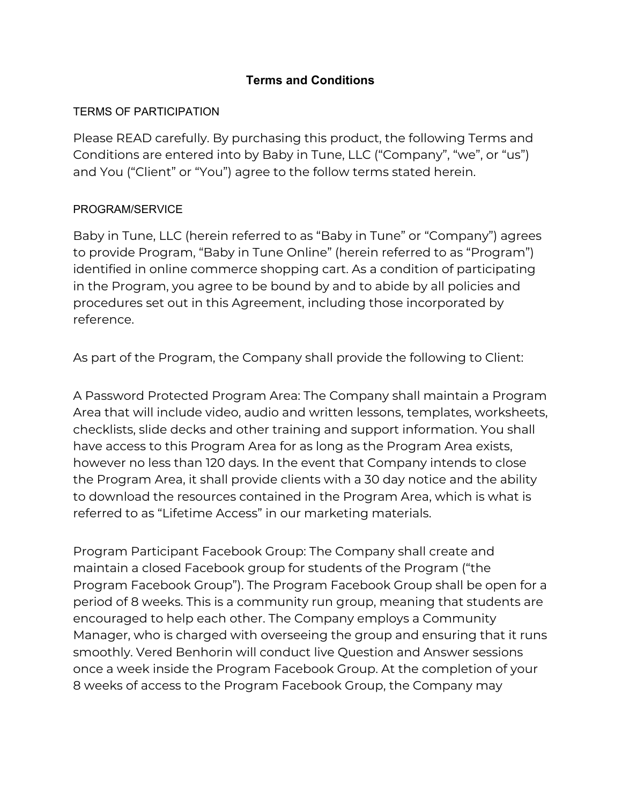### **Terms and Conditions**

#### TERMS OF PARTICIPATION

Please READ carefully. By purchasing this product, the following Terms and Conditions are entered into by Baby in Tune, LLC ("Company", "we", or "us") and You ("Client" or "You") agree to the follow terms stated herein.

### PROGRAM/SERVICE

Baby in Tune, LLC (herein referred to as "Baby in Tune" or "Company") agrees to provide Program, "Baby in Tune Online" (herein referred to as "Program") identified in online commerce shopping cart. As a condition of participating in the Program, you agree to be bound by and to abide by all policies and procedures set out in this Agreement, including those incorporated by reference.

As part of the Program, the Company shall provide the following to Client:

A Password Protected Program Area: The Company shall maintain a Program Area that will include video, audio and written lessons, templates, worksheets, checklists, slide decks and other training and support information. You shall have access to this Program Area for as long as the Program Area exists, however no less than 120 days. In the event that Company intends to close the Program Area, it shall provide clients with a 30 day notice and the ability to download the resources contained in the Program Area, which is what is referred to as "Lifetime Access" in our marketing materials.

Program Participant Facebook Group: The Company shall create and maintain a closed Facebook group for students of the Program ("the Program Facebook Group"). The Program Facebook Group shall be open for a period of 8 weeks. This is a community run group, meaning that students are encouraged to help each other. The Company employs a Community Manager, who is charged with overseeing the group and ensuring that it runs smoothly. Vered Benhorin will conduct live Question and Answer sessions once a week inside the Program Facebook Group. At the completion of your 8 weeks of access to the Program Facebook Group, the Company may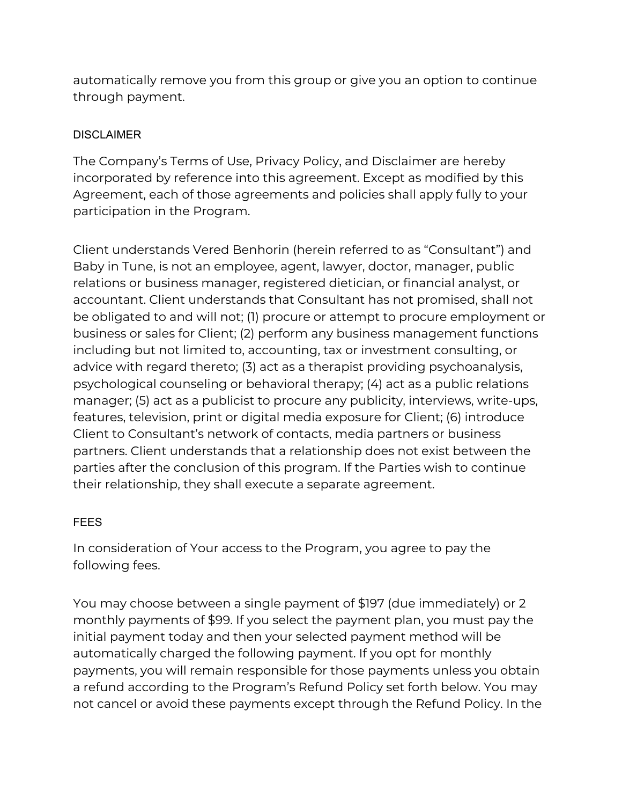automatically remove you from this group or give you an option to continue through payment.

### DISCLAIMER

The Company's Terms of Use, Privacy Policy, and Disclaimer are hereby incorporated by reference into this agreement. Except as modified by this Agreement, each of those agreements and policies shall apply fully to your participation in the Program.

Client understands Vered Benhorin (herein referred to as "Consultant") and Baby in Tune, is not an employee, agent, lawyer, doctor, manager, public relations or business manager, registered dietician, or financial analyst, or accountant. Client understands that Consultant has not promised, shall not be obligated to and will not; (1) procure or attempt to procure employment or business or sales for Client; (2) perform any business management functions including but not limited to, accounting, tax or investment consulting, or advice with regard thereto; (3) act as a therapist providing psychoanalysis, psychological counseling or behavioral therapy; (4) act as a public relations manager; (5) act as a publicist to procure any publicity, interviews, write-ups, features, television, print or digital media exposure for Client; (6) introduce Client to Consultant's network of contacts, media partners or business partners. Client understands that a relationship does not exist between the parties after the conclusion of this program. If the Parties wish to continue their relationship, they shall execute a separate agreement.

# **FEES**

In consideration of Your access to the Program, you agree to pay the following fees.

You may choose between a single payment of \$197 (due immediately) or 2 monthly payments of \$99. If you select the payment plan, you must pay the initial payment today and then your selected payment method will be automatically charged the following payment. If you opt for monthly payments, you will remain responsible for those payments unless you obtain a refund according to the Program's Refund Policy set forth below. You may not cancel or avoid these payments except through the Refund Policy. In the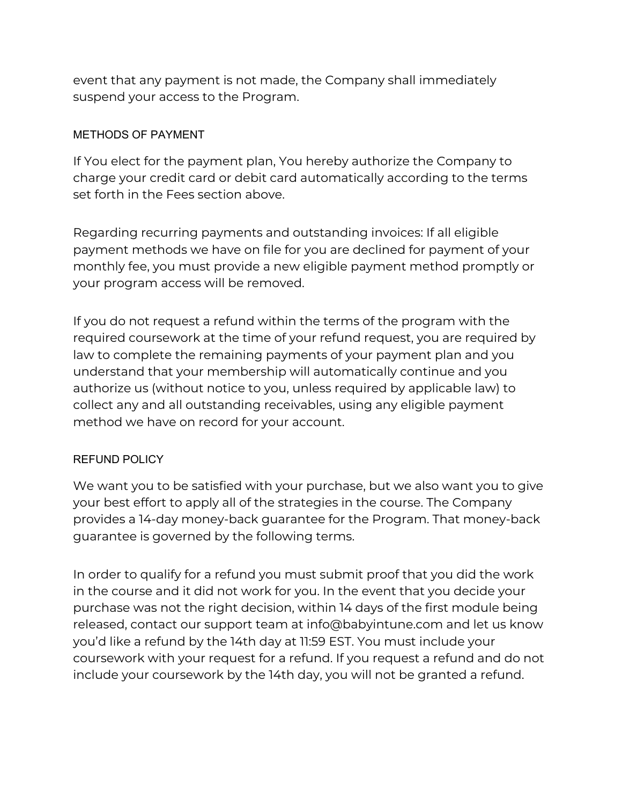event that any payment is not made, the Company shall immediately suspend your access to the Program.

### METHODS OF PAYMENT

If You elect for the payment plan, You hereby authorize the Company to charge your credit card or debit card automatically according to the terms set forth in the Fees section above.

Regarding recurring payments and outstanding invoices: If all eligible payment methods we have on file for you are declined for payment of your monthly fee, you must provide a new eligible payment method promptly or your program access will be removed.

If you do not request a refund within the terms of the program with the required coursework at the time of your refund request, you are required by law to complete the remaining payments of your payment plan and you understand that your membership will automatically continue and you authorize us (without notice to you, unless required by applicable law) to collect any and all outstanding receivables, using any eligible payment method we have on record for your account.

### REFUND POLICY

We want you to be satisfied with your purchase, but we also want you to give your best effort to apply all of the strategies in the course. The Company provides a 14-day money-back guarantee for the Program. That money-back guarantee is governed by the following terms.

In order to qualify for a refund you must submit proof that you did the work in the course and it did not work for you. In the event that you decide your purchase was not the right decision, within 14 days of the first module being released, contact our support team at info@babyintune.com and let us know you'd like a refund by the 14th day at 11:59 EST. You must include your coursework with your request for a refund. If you request a refund and do not include your coursework by the 14th day, you will not be granted a refund.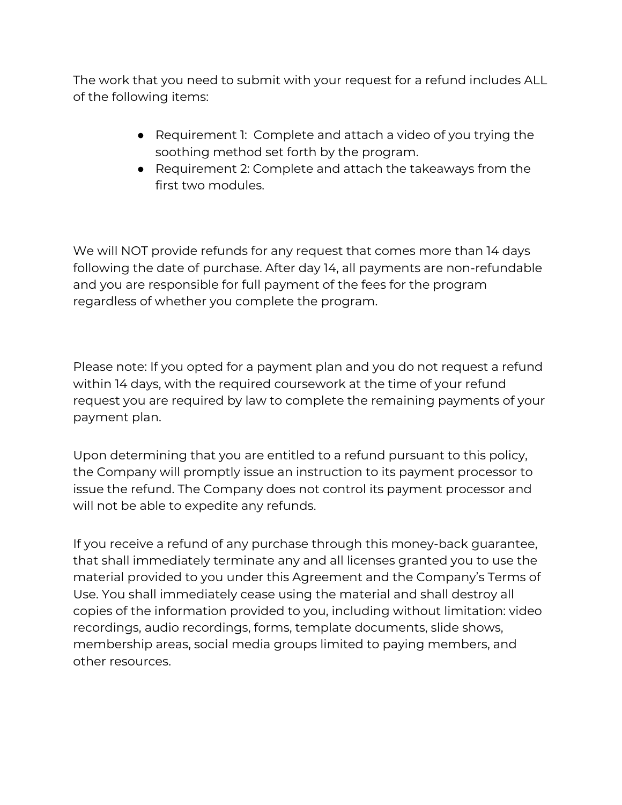The work that you need to submit with your request for a refund includes ALL of the following items:

- Requirement 1: Complete and attach a video of you trying the soothing method set forth by the program.
- Requirement 2: Complete and attach the takeaways from the first two modules.

We will NOT provide refunds for any request that comes more than 14 days following the date of purchase. After day 14, all payments are non-refundable and you are responsible for full payment of the fees for the program regardless of whether you complete the program.

Please note: If you opted for a payment plan and you do not request a refund within 14 days, with the required coursework at the time of your refund request you are required by law to complete the remaining payments of your payment plan.

Upon determining that you are entitled to a refund pursuant to this policy, the Company will promptly issue an instruction to its payment processor to issue the refund. The Company does not control its payment processor and will not be able to expedite any refunds.

If you receive a refund of any purchase through this money-back guarantee, that shall immediately terminate any and all licenses granted you to use the material provided to you under this Agreement and the Company's Terms of Use. You shall immediately cease using the material and shall destroy all copies of the information provided to you, including without limitation: video recordings, audio recordings, forms, template documents, slide shows, membership areas, social media groups limited to paying members, and other resources.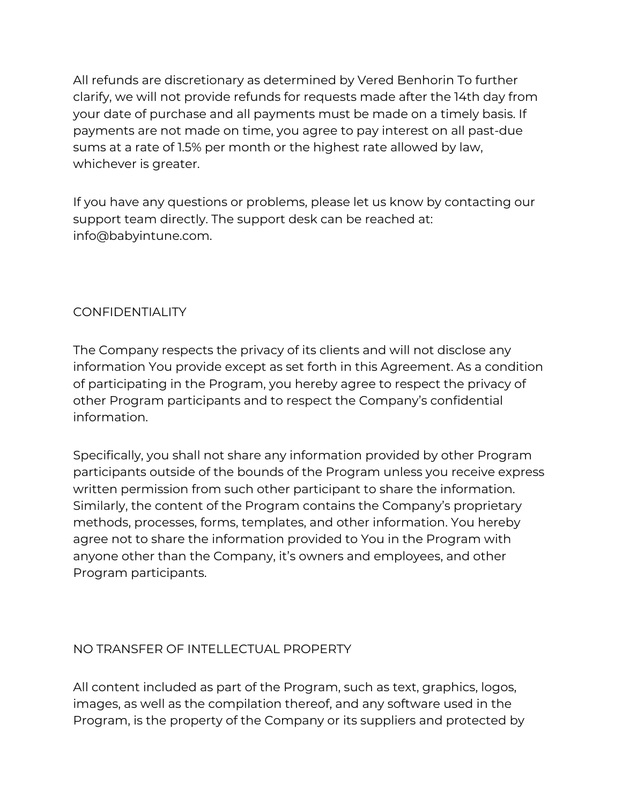All refunds are discretionary as determined by Vered Benhorin To further clarify, we will not provide refunds for requests made after the 14th day from your date of purchase and all payments must be made on a timely basis. If payments are not made on time, you agree to pay interest on all past-due sums at a rate of 1.5% per month or the highest rate allowed by law, whichever is greater.

If you have any questions or problems, please let us know by contacting our support team directly. The support desk can be reached at: info@babyintune.com.

# **CONFIDENTIALITY**

The Company respects the privacy of its clients and will not disclose any information You provide except as set forth in this Agreement. As a condition of participating in the Program, you hereby agree to respect the privacy of other Program participants and to respect the Company's confidential information.

Specifically, you shall not share any information provided by other Program participants outside of the bounds of the Program unless you receive express written permission from such other participant to share the information. Similarly, the content of the Program contains the Company's proprietary methods, processes, forms, templates, and other information. You hereby agree not to share the information provided to You in the Program with anyone other than the Company, it's owners and employees, and other Program participants.

# NO TRANSFER OF INTELLECTUAL PROPERTY

All content included as part of the Program, such as text, graphics, logos, images, as well as the compilation thereof, and any software used in the Program, is the property of the Company or its suppliers and protected by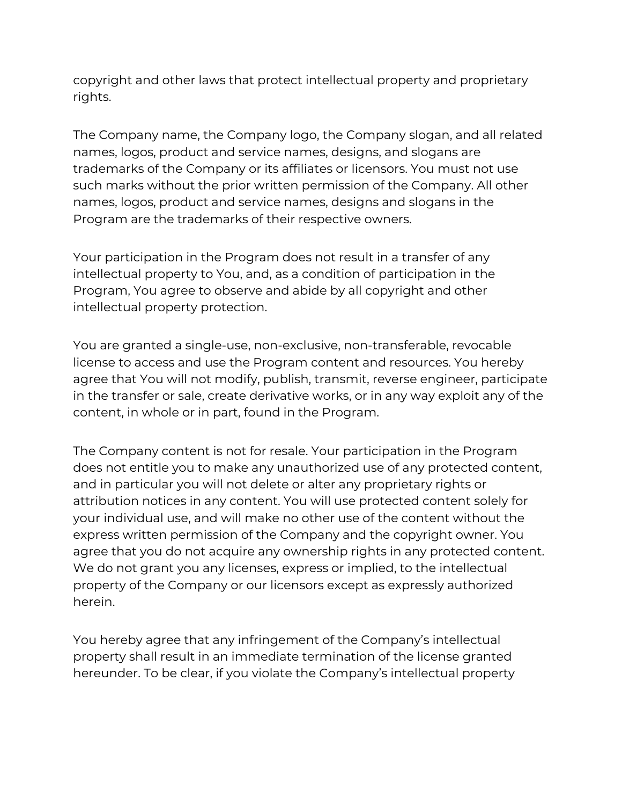copyright and other laws that protect intellectual property and proprietary rights.

The Company name, the Company logo, the Company slogan, and all related names, logos, product and service names, designs, and slogans are trademarks of the Company or its affiliates or licensors. You must not use such marks without the prior written permission of the Company. All other names, logos, product and service names, designs and slogans in the Program are the trademarks of their respective owners.

Your participation in the Program does not result in a transfer of any intellectual property to You, and, as a condition of participation in the Program, You agree to observe and abide by all copyright and other intellectual property protection.

You are granted a single-use, non-exclusive, non-transferable, revocable license to access and use the Program content and resources. You hereby agree that You will not modify, publish, transmit, reverse engineer, participate in the transfer or sale, create derivative works, or in any way exploit any of the content, in whole or in part, found in the Program.

The Company content is not for resale. Your participation in the Program does not entitle you to make any unauthorized use of any protected content, and in particular you will not delete or alter any proprietary rights or attribution notices in any content. You will use protected content solely for your individual use, and will make no other use of the content without the express written permission of the Company and the copyright owner. You agree that you do not acquire any ownership rights in any protected content. We do not grant you any licenses, express or implied, to the intellectual property of the Company or our licensors except as expressly authorized herein.

You hereby agree that any infringement of the Company's intellectual property shall result in an immediate termination of the license granted hereunder. To be clear, if you violate the Company's intellectual property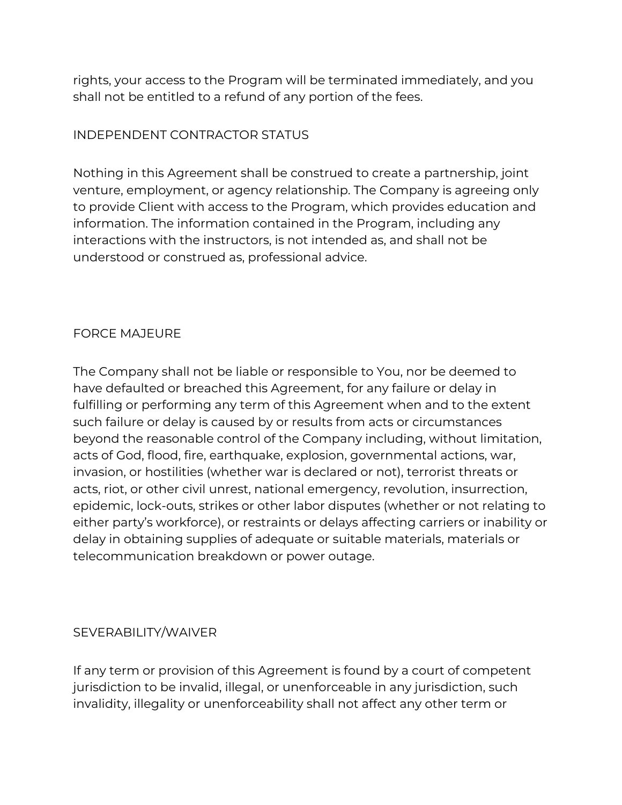rights, your access to the Program will be terminated immediately, and you shall not be entitled to a refund of any portion of the fees.

### INDEPENDENT CONTRACTOR STATUS

Nothing in this Agreement shall be construed to create a partnership, joint venture, employment, or agency relationship. The Company is agreeing only to provide Client with access to the Program, which provides education and information. The information contained in the Program, including any interactions with the instructors, is not intended as, and shall not be understood or construed as, professional advice.

# FORCE MAJEURE

The Company shall not be liable or responsible to You, nor be deemed to have defaulted or breached this Agreement, for any failure or delay in fulfilling or performing any term of this Agreement when and to the extent such failure or delay is caused by or results from acts or circumstances beyond the reasonable control of the Company including, without limitation, acts of God, flood, fire, earthquake, explosion, governmental actions, war, invasion, or hostilities (whether war is declared or not), terrorist threats or acts, riot, or other civil unrest, national emergency, revolution, insurrection, epidemic, lock-outs, strikes or other labor disputes (whether or not relating to either party's workforce), or restraints or delays affecting carriers or inability or delay in obtaining supplies of adequate or suitable materials, materials or telecommunication breakdown or power outage.

# SEVERABILITY/WAIVER

If any term or provision of this Agreement is found by a court of competent jurisdiction to be invalid, illegal, or unenforceable in any jurisdiction, such invalidity, illegality or unenforceability shall not affect any other term or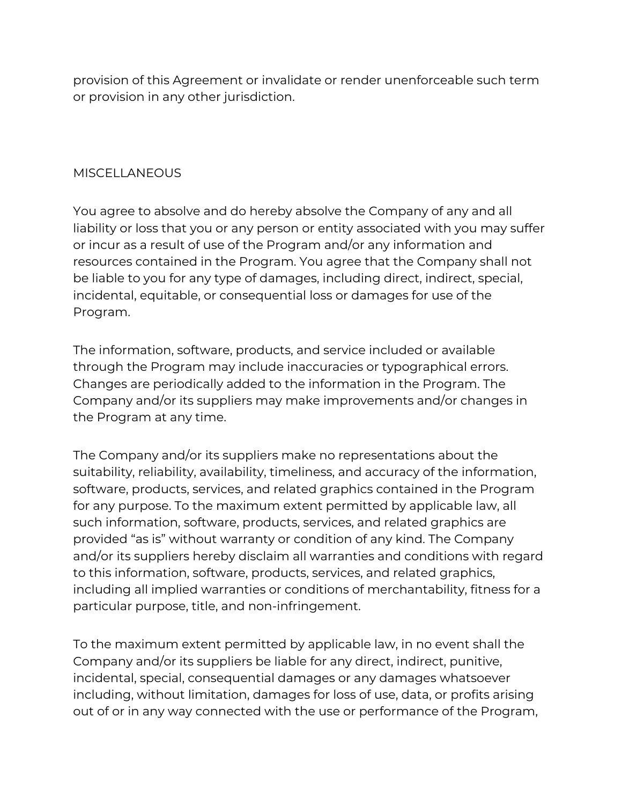provision of this Agreement or invalidate or render unenforceable such term or provision in any other jurisdiction.

# **MISCELLANEOUS**

You agree to absolve and do hereby absolve the Company of any and all liability or loss that you or any person or entity associated with you may suffer or incur as a result of use of the Program and/or any information and resources contained in the Program. You agree that the Company shall not be liable to you for any type of damages, including direct, indirect, special, incidental, equitable, or consequential loss or damages for use of the Program.

The information, software, products, and service included or available through the Program may include inaccuracies or typographical errors. Changes are periodically added to the information in the Program. The Company and/or its suppliers may make improvements and/or changes in the Program at any time.

The Company and/or its suppliers make no representations about the suitability, reliability, availability, timeliness, and accuracy of the information, software, products, services, and related graphics contained in the Program for any purpose. To the maximum extent permitted by applicable law, all such information, software, products, services, and related graphics are provided "as is" without warranty or condition of any kind. The Company and/or its suppliers hereby disclaim all warranties and conditions with regard to this information, software, products, services, and related graphics, including all implied warranties or conditions of merchantability, fitness for a particular purpose, title, and non-infringement.

To the maximum extent permitted by applicable law, in no event shall the Company and/or its suppliers be liable for any direct, indirect, punitive, incidental, special, consequential damages or any damages whatsoever including, without limitation, damages for loss of use, data, or profits arising out of or in any way connected with the use or performance of the Program,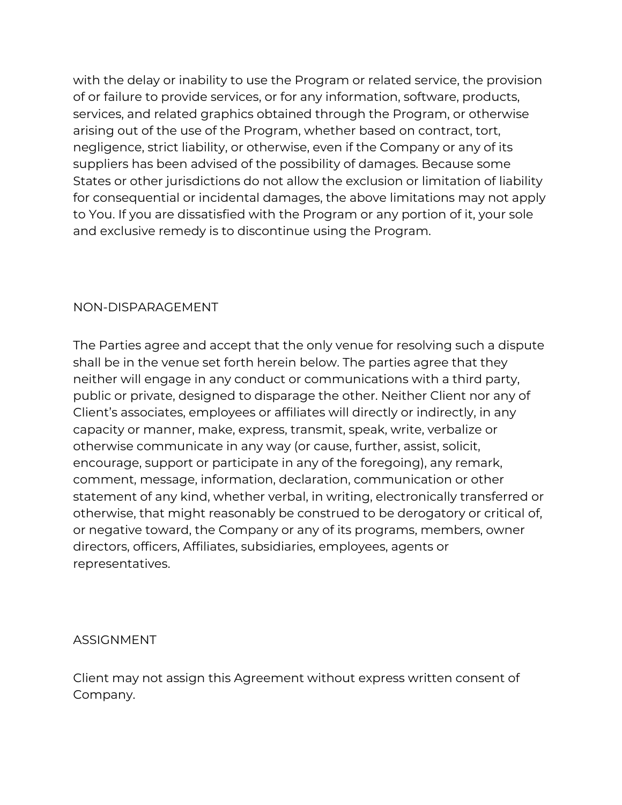with the delay or inability to use the Program or related service, the provision of or failure to provide services, or for any information, software, products, services, and related graphics obtained through the Program, or otherwise arising out of the use of the Program, whether based on contract, tort, negligence, strict liability, or otherwise, even if the Company or any of its suppliers has been advised of the possibility of damages. Because some States or other jurisdictions do not allow the exclusion or limitation of liability for consequential or incidental damages, the above limitations may not apply to You. If you are dissatisfied with the Program or any portion of it, your sole and exclusive remedy is to discontinue using the Program.

### NON-DISPARAGEMENT

The Parties agree and accept that the only venue for resolving such a dispute shall be in the venue set forth herein below. The parties agree that they neither will engage in any conduct or communications with a third party, public or private, designed to disparage the other. Neither Client nor any of Client's associates, employees or affiliates will directly or indirectly, in any capacity or manner, make, express, transmit, speak, write, verbalize or otherwise communicate in any way (or cause, further, assist, solicit, encourage, support or participate in any of the foregoing), any remark, comment, message, information, declaration, communication or other statement of any kind, whether verbal, in writing, electronically transferred or otherwise, that might reasonably be construed to be derogatory or critical of, or negative toward, the Company or any of its programs, members, owner directors, officers, Affiliates, subsidiaries, employees, agents or representatives.

### ASSIGNMENT

Client may not assign this Agreement without express written consent of Company.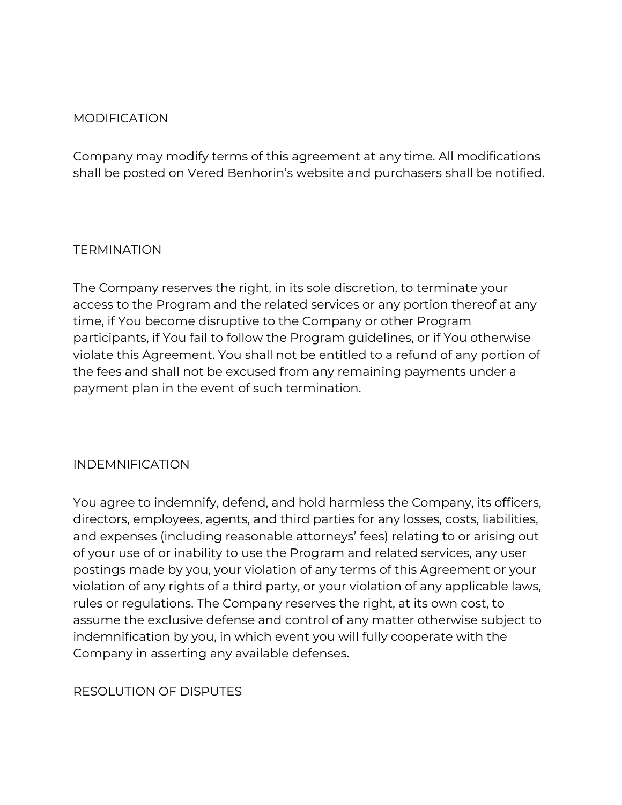### MODIFICATION

Company may modify terms of this agreement at any time. All modifications shall be posted on Vered Benhorin's website and purchasers shall be notified.

#### **TERMINATION**

The Company reserves the right, in its sole discretion, to terminate your access to the Program and the related services or any portion thereof at any time, if You become disruptive to the Company or other Program participants, if You fail to follow the Program guidelines, or if You otherwise violate this Agreement. You shall not be entitled to a refund of any portion of the fees and shall not be excused from any remaining payments under a payment plan in the event of such termination.

### INDEMNIFICATION

You agree to indemnify, defend, and hold harmless the Company, its officers, directors, employees, agents, and third parties for any losses, costs, liabilities, and expenses (including reasonable attorneys' fees) relating to or arising out of your use of or inability to use the Program and related services, any user postings made by you, your violation of any terms of this Agreement or your violation of any rights of a third party, or your violation of any applicable laws, rules or regulations. The Company reserves the right, at its own cost, to assume the exclusive defense and control of any matter otherwise subject to indemnification by you, in which event you will fully cooperate with the Company in asserting any available defenses.

### RESOLUTION OF DISPUTES